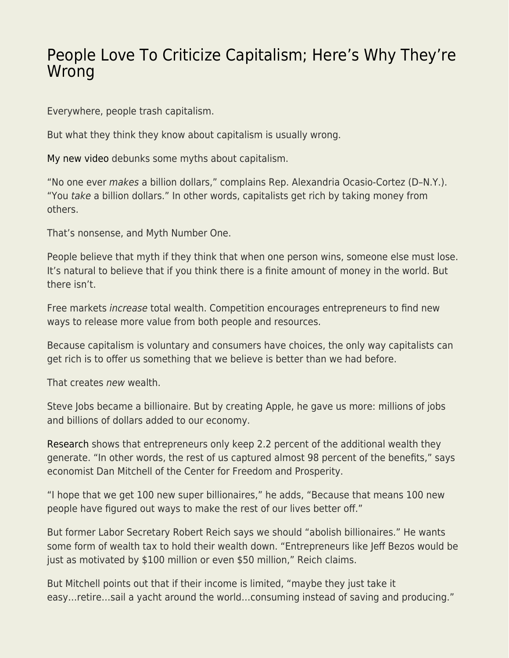## [People Love To Criticize Capitalism; Here's Why They're](https://everything-voluntary.com/people-love-to-criticize-capitalism-heres-why-theyre-wrong) [Wrong](https://everything-voluntary.com/people-love-to-criticize-capitalism-heres-why-theyre-wrong)

Everywhere, people trash capitalism.

But what they think they know about capitalism is usually wrong.

[My new video](https://youtu.be/4n27CkpmhMA) debunks some myths about capitalism.

"No one ever makes a billion dollars," complains Rep. Alexandria Ocasio-Cortez (D–N.Y.). "You take a billion dollars." In other words, capitalists get rich by taking money from others.

That's nonsense, and Myth Number One.

People believe that myth if they think that when one person wins, someone else must lose. It's natural to believe that if you think there is a finite amount of money in the world. But there isn't.

Free markets increase total wealth. Competition encourages entrepreneurs to find new ways to release more value from both people and resources.

Because capitalism is voluntary and consumers have choices, the only way capitalists can get rich is to offer us something that we believe is better than we had before.

That creates new wealth.

Steve Jobs became a billionaire. But by creating Apple, he gave us more: millions of jobs and billions of dollars added to our economy.

[Research](https://www.nber.org/system/files/working_papers/w10433/w10433.pdf) shows that entrepreneurs only keep 2.2 percent of the additional wealth they generate. "In other words, the rest of us captured almost 98 percent of the benefits," says economist Dan Mitchell of the Center for Freedom and Prosperity.

"I hope that we get 100 new super billionaires," he adds, "Because that means 100 new people have figured out ways to make the rest of our lives better off."

But former Labor Secretary Robert Reich says we should "abolish billionaires." He wants some form of wealth tax to hold their wealth down. "Entrepreneurs like Jeff Bezos would be just as motivated by \$100 million or even \$50 million," Reich claims.

But Mitchell points out that if their income is limited, "maybe they just take it easy…retire…sail a yacht around the world…consuming instead of saving and producing."